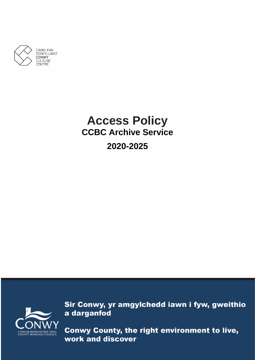

# **Access Policy CCBC Archive Service 2020-2025**



Sir Conwy, yr amgylchedd iawn i fyw, gweithio a darganfod

Conwy County, the right environment to live, work and discover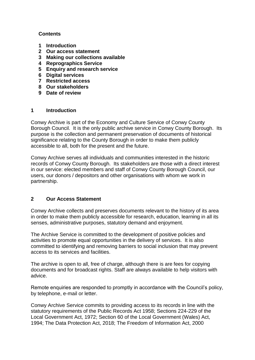#### **Contents**

- **1 Introduction**
- **2 Our access statement**
- **3 Making our collections available**
- **4 Reprographics Service**
- **5 Enquiry and research service**
- **6 Digital services**
- **7 Restricted access**
- **8 Our stakeholders**
- **9 Date of review**

#### **1 Introduction**

Conwy Archive is part of the Economy and Culture Service of Conwy County Borough Council. It is the only public archive service in Conwy County Borough. Its purpose is the collection and permanent preservation of documents of historical significance relating to the County Borough in order to make them publicly accessible to all, both for the present and the future.

Conwy Archive serves all individuals and communities interested in the historic records of Conwy County Borough. Its stakeholders are those with a direct interest in our service: elected members and staff of Conwy County Borough Council, our users, our donors / depositors and other organisations with whom we work in partnership.

## **2 Our Access Statement**

Conwy Archive collects and preserves documents relevant to the history of its area in order to make them publicly accessible for research, education, learning in all its senses, administrative purposes, statutory demand and enjoyment.

The Archive Service is committed to the development of positive policies and activities to promote equal opportunities in the delivery of services. It is also committed to identifying and removing barriers to social inclusion that may prevent access to its services and facilities.

The archive is open to all, free of charge, although there is are fees for copying documents and for broadcast rights. Staff are always available to help visitors with advice.

Remote enquiries are responded to promptly in accordance with the Council's policy, by telephone, e-mail or letter.

Conwy Archive Service commits to providing access to its records in line with the statutory requirements of the Public Records Act 1958; Sections 224-229 of the Local Government Act, 1972; Section 60 of the Local Government (Wales) Act, 1994; The Data Protection Act, 2018; The Freedom of Information Act, 2000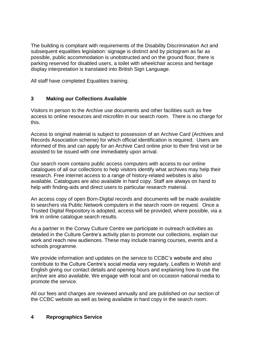The building is compliant with requirements of the Disability Discrimination Act and subsequent equalities legislation: signage is distinct and by pictogram as far as possible, public accommodation is unobstructed and on the ground floor, there is parking reserved for disabled users, a toilet with wheelchair access and heritage display interpretation is translated into British Sign Language.

All staff have completed Equalities training.

## **3 Making our Collections Available**

Visitors in person to the Archive use documents and other facilities such as free access to online resources and microfilm in our search room. There is no charge for this.

Access to original material is subject to possession of an Archive Card (Archives and Records Association scheme) for which official identification is required. Users are informed of this and can apply for an Archive Card online prior to their first visit or be assisted to be issued with one immediately upon arrival.

Our search room contains public access computers with access to our online catalogues of all our collections to help visitors identify what archives may help their research. Free internet access to a range of history-related websites is also available. Catalogues are also available in hard copy. Staff are always on hand to help with finding-aids and direct users to particular research material.

An access copy of open Born-Digital records and documents will be made available to searchers via Public Network computers in the search room on request. Once a Trusted Digital Repository is adopted, access will be provided, where possible, via a link in online catalogue search results.

As a partner in the Conwy Culture Centre we participate in outreach activities as detailed in the Culture Centre's activity plan to promote our collections, explain our work and reach new audiences. These may include training courses, events and a schools programme.

We provide information and updates on the service to CCBC's website and also contribute to the Culture Centre's social media very regularly. Leaflets in Welsh and English giving our contact details and opening hours and explaining how to use the archive are also available. We engage with local and on occasion national media to promote the service.

All our fees and charges are reviewed annually and are published on our section of the CCBC website as well as being available in hard copy in the search room.

#### **4 Reprographics Service**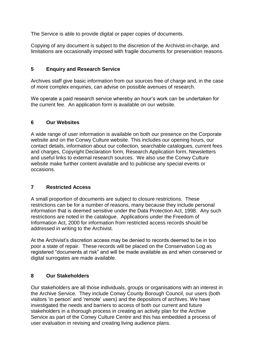The Service is able to provide digital or paper copies of documents.

Copying of any document is subject to the discretion of the Archivist-in-charge, and limitations are occasionally imposed with fragile documents for preservation reasons.

## **5 Enquiry and Research Service**

Archives staff give basic information from our sources free of charge and, in the case of more complex enquiries, can advise on possible avenues of research.

We operate a paid research service whereby an hour's work can be undertaken for the current fee. An application form is available on our website.

## **6 Our Websites**

A wide range of user information is available on both our presence on the Corporate website and on the Conwy Culture website. This includes our opening hours, our contact details, information about our collection, searchable catalogues, current fees and charges, Copyright Declaration form, Research Application form, Newsletters and useful links to external research sources. We also use the Conwy Culture website make further content available and to publicise any special events or occasions.

## **7 Restricted Access**

A small proportion of documents are subject to closure restrictions. These restrictions can be for a number of reasons, many because they include personal information that is deemed sensitive under the Data Protection Act, 1998. Any such restrictions are noted in the catalogue. Applications under the Freedom of Information Act, 2000 for information from restricted access records should be addressed in writing to the Archivist.

At the Archivist's discretion access may be denied to records deemed to be in too poor a state of repair. These records will be placed on the Conservation Log as registered "documents at risk" and will be made available as and when conserved or digital surrogates are made available.

## **8 Our Stakeholders**

Our stakeholders are all those individuals, groups or organisations with an interest in the Archive Service. They include Conwy County Borough Council, our users (both visitors 'in person' and 'remote' users) and the depositors of archives. We have investigated the needs and barriers to access of both our current and future stakeholders in a thorough process in creating an activity plan for the Archive Service as part of the Conwy Culture Centre and this has embedded a process of user evaluation in revising and creating living audience plans.